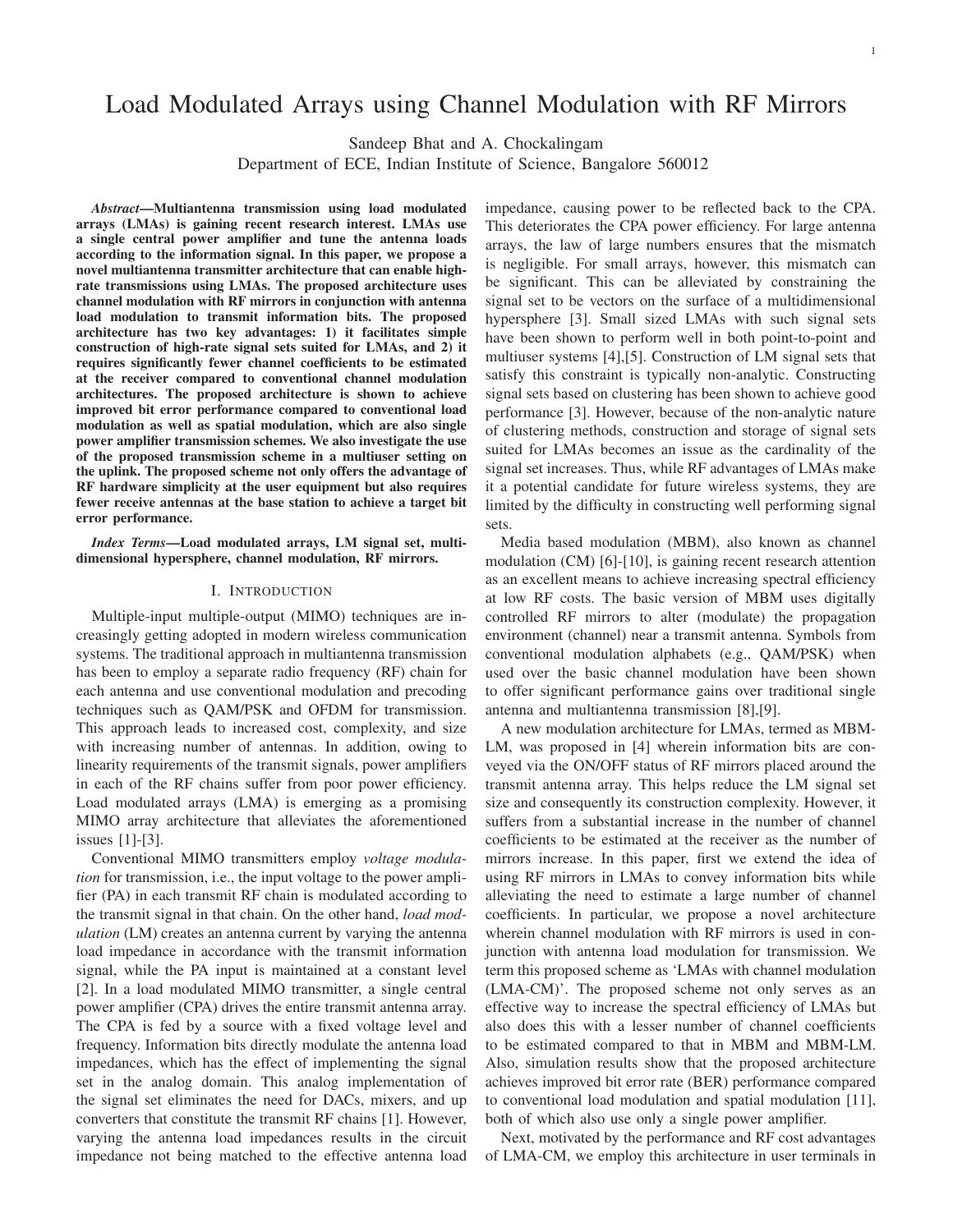# Load Modulated Arrays using Channel Modulation with RF Mirrors

Sandeep Bhat and A. Chockalingam

Department of ECE, Indian Institute of Science, Bangalore 560012

*Abstract*—Multiantenna transmission using load modulated arrays (LMAs) is gaining recent research interest. LMAs use a single central power amplifier and tune the antenna loads according to the information signal. In this paper, we propose a novel multiantenna transmitter architecture that can enable highrate transmissions using LMAs. The proposed architecture uses channel modulation with RF mirrors in conjunction with antenna load modulation to transmit information bits. The proposed architecture has two key advantages: 1) it facilitates simple construction of high-rate signal sets suited for LMAs, and 2) it requires significantly fewer channel coefficients to be estimated at the receiver compared to conventional channel modulation architectures. The proposed architecture is shown to achieve improved bit error performance compared to conventional load modulation as well as spatial modulation, which are also single power amplifier transmission schemes. We also investigate the use of the proposed transmission scheme in a multiuser setting on the uplink. The proposed scheme not only offers the advantage of RF hardware simplicity at the user equipment but also requires fewer receive antennas at the base station to achieve a target bit error performance.

*Index Terms*—Load modulated arrays, LM signal set, multidimensional hypersphere, channel modulation, RF mirrors.

## I. INTRODUCTION

Multiple-input multiple-output (MIMO) techniques are increasingly getting adopted in modern wireless communication systems. The traditional approach in multiantenna transmission has been to employ a separate radio frequency (RF) chain for each antenna and use conventional modulation and precoding techniques such as QAM/PSK and OFDM for transmission. This approach leads to increased cost, complexity, and size with increasing number of antennas. In addition, owing to linearity requirements of the transmit signals, power amplifiers in each of the RF chains suffer from poor power efficiency. Load modulated arrays (LMA) is emerging as a promising MIMO array architecture that alleviates the aforementioned issues [1]-[3].

Conventional MIMO transmitters employ *voltage modulation* for transmission, i.e., the input voltage to the power amplifier (PA) in each transmit RF chain is modulated according to the transmit signal in that chain. On the other hand, *load modulation* (LM) creates an antenna current by varying the antenna load impedance in accordance with the transmit information signal, while the PA input is maintained at a constant level [2]. In a load modulated MIMO transmitter, a single central power amplifier (CPA) drives the entire transmit antenna array. The CPA is fed by a source with a fixed voltage level and frequency. Information bits directly modulate the antenna load impedances, which has the effect of implementing the signal set in the analog domain. This analog implementation of the signal set eliminates the need for DACs, mixers, and up converters that constitute the transmit RF chains [1]. However, varying the antenna load impedances results in the circuit impedance not being matched to the effective antenna load impedance, causing power to be reflected back to the CPA. This deteriorates the CPA power efficiency. For large antenna arrays, the law of large numbers ensures that the mismatch is negligible. For small arrays, however, this mismatch can be significant. This can be alleviated by constraining the signal set to be vectors on the surface of a multidimensional hypersphere [3]. Small sized LMAs with such signal sets have been shown to perform well in both point-to-point and multiuser systems [4],[5]. Construction of LM signal sets that satisfy this constraint is typically non-analytic. Constructing signal sets based on clustering has been shown to achieve good performance [3]. However, because of the non-analytic nature of clustering methods, construction and storage of signal sets suited for LMAs becomes an issue as the cardinality of the signal set increases. Thus, while RF advantages of LMAs make it a potential candidate for future wireless systems, they are limited by the difficulty in constructing well performing signal sets.

Media based modulation (MBM), also known as channel modulation (CM) [6]-[10], is gaining recent research attention as an excellent means to achieve increasing spectral efficiency at low RF costs. The basic version of MBM uses digitally controlled RF mirrors to alter (modulate) the propagation environment (channel) near a transmit antenna. Symbols from conventional modulation alphabets (e.g., QAM/PSK) when used over the basic channel modulation have been shown to offer significant performance gains over traditional single antenna and multiantenna transmission [8],[9].

A new modulation architecture for LMAs, termed as MBM-LM, was proposed in [4] wherein information bits are conveyed via the ON/OFF status of RF mirrors placed around the transmit antenna array. This helps reduce the LM signal set size and consequently its construction complexity. However, it suffers from a substantial increase in the number of channel coefficients to be estimated at the receiver as the number of mirrors increase. In this paper, first we extend the idea of using RF mirrors in LMAs to convey information bits while alleviating the need to estimate a large number of channel coefficients. In particular, we propose a novel architecture wherein channel modulation with RF mirrors is used in conjunction with antenna load modulation for transmission. We term this proposed scheme as 'LMAs with channel modulation (LMA-CM)'. The proposed scheme not only serves as an effective way to increase the spectral efficiency of LMAs but also does this with a lesser number of channel coefficients to be estimated compared to that in MBM and MBM-LM. Also, simulation results show that the proposed architecture achieves improved bit error rate (BER) performance compared to conventional load modulation and spatial modulation [11], both of which also use only a single power amplifier.

Next, motivated by the performance and RF cost advantages of LMA-CM, we employ this architecture in user terminals in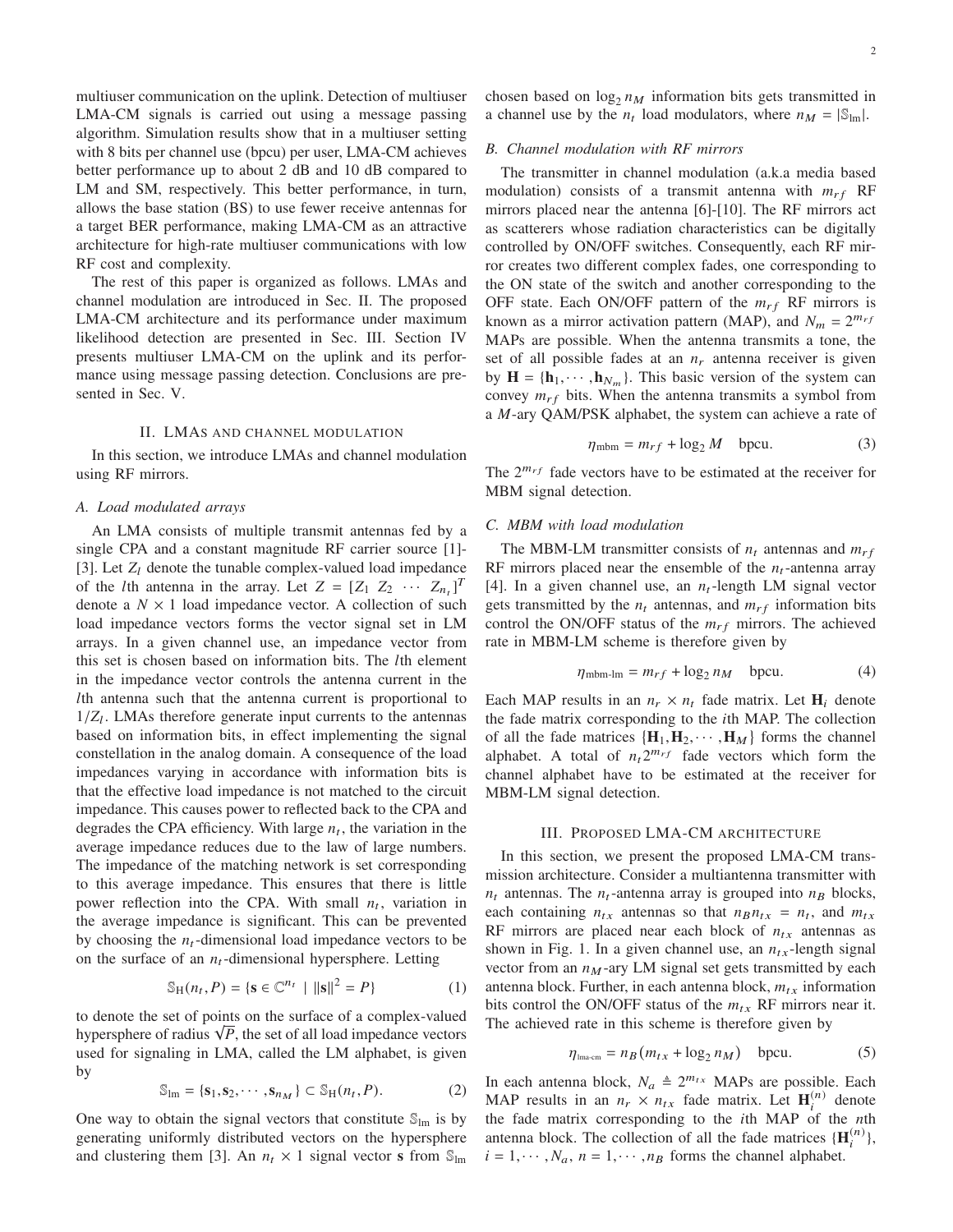multiuser communication on the uplink. Detection of multiuser LMA-CM signals is carried out using a message passing algorithm. Simulation results show that in a multiuser setting with 8 bits per channel use (bpcu) per user, LMA-CM achieves better performance up to about 2 dB and 10 dB compared to LM and SM, respectively. This better performance, in turn, allows the base station (BS) to use fewer receive antennas for a target BER performance, making LMA-CM as an attractive architecture for high-rate multiuser communications with low RF cost and complexity.

The rest of this paper is organized as follows. LMAs and channel modulation are introduced in Sec. II. The proposed LMA-CM architecture and its performance under maximum likelihood detection are presented in Sec. III. Section IV presents multiuser LMA-CM on the uplink and its performance using message passing detection. Conclusions are presented in Sec. V.

## II. LMAS AND CHANNEL MODULATION

In this section, we introduce LMAs and channel modulation using RF mirrors.

## *A. Load modulated arrays*

An LMA consists of multiple transmit antennas fed by a single CPA and a constant magnitude RF carrier source [1]- [3]. Let  $Z_l$  denote the tunable complex-valued load impedance of the *l*th antenna in the array. Let  $Z = [Z_1 \ Z_2 \ \cdots \ Z_{n_t}]^T$ denote a  $N \times 1$  load impedance vector. A collection of such load impedance vectors forms the vector signal set in LM arrays. In a given channel use, an impedance vector from this set is chosen based on information bits. The *l*th element in the impedance vector controls the antenna current in the *l*th antenna such that the antenna current is proportional to  $1/Z_l$ . LMAs therefore generate input currents to the antennas based on information bits, in effect implementing the signal constellation in the analog domain. A consequence of the load impedances varying in accordance with information bits is that the effective load impedance is not matched to the circuit impedance. This causes power to reflected back to the CPA and degrades the CPA efficiency. With large  $n_t$ , the variation in the average impedance reduces due to the law of large numbers. The impedance of the matching network is set corresponding to this average impedance. This ensures that there is little power reflection into the CPA. With small  $n_t$ , variation in the average impedance is significant. This can be prevented by choosing the  $n_t$ -dimensional load impedance vectors to be on the surface of an  $n_t$ -dimensional hypersphere. Letting

$$
\mathbb{S}_{\mathrm{H}}(n_t, P) = \{ \mathbf{s} \in \mathbb{C}^{n_t} \mid ||\mathbf{s}||^2 = P \}
$$
 (1)

to denote the set of points on the surface of a complex-valued hypersphere of radius  $\sqrt{P}$ , the set of all load impedance vectors used for signaling in LMA, called the LM alphabet, is given by

$$
\mathbb{S}_{\text{lm}} = \{ \mathbf{s}_1, \mathbf{s}_2, \cdots, \mathbf{s}_{n_M} \} \subset \mathbb{S}_{\text{H}}(n_t, P). \tag{2}
$$

One way to obtain the signal vectors that constitute  $\mathbb{S}_{\text{Im}}$  is by generating uniformly distributed vectors on the hypersphere and clustering them [3]. An  $n_t \times 1$  signal vector **s** from  $\mathbb{S}_{lm}$  chosen based on  $\log_2 n_M$  information bits gets transmitted in a channel use by the  $n_t$  load modulators, where  $n_M = |\mathbb{S}_{lm}|$ .

## *B. Channel modulation with RF mirrors*

The transmitter in channel modulation (a.k.a media based modulation) consists of a transmit antenna with  $m_{rf}$  RF mirrors placed near the antenna [6]-[10]. The RF mirrors act as scatterers whose radiation characteristics can be digitally controlled by ON/OFF switches. Consequently, each RF mirror creates two different complex fades, one corresponding to the ON state of the switch and another corresponding to the OFF state. Each ON/OFF pattern of the  $m_{rf}$  RF mirrors is known as a mirror activation pattern (MAP), and  $N_m = 2^{m_{rf}}$ MAPs are possible. When the antenna transmits a tone, the set of all possible fades at an  $n_r$  antenna receiver is given by  $\mathbf{H} = \{\mathbf{h}_1, \dots, \mathbf{h}_{N_m}\}\$ . This basic version of the system can convey  $m_{rf}$  bits. When the antenna transmits a symbol from a *M*-ary QAM/PSK alphabet, the system can achieve a rate of

$$
\eta_{\text{mbm}} = m_{rf} + \log_2 M \quad \text{bpcu.} \tag{3}
$$

The  $2^{m_{rf}}$  fade vectors have to be estimated at the receiver for MBM signal detection.

#### *C. MBM with load modulation*

The MBM-LM transmitter consists of  $n_t$  antennas and  $m_{rf}$ RF mirrors placed near the ensemble of the  $n_t$ -antenna array [4]. In a given channel use, an  $n_t$ -length LM signal vector gets transmitted by the  $n_t$  antennas, and  $m_{rf}$  information bits control the ON/OFF status of the  $m_{rf}$  mirrors. The achieved rate in MBM-LM scheme is therefore given by

$$
\eta_{\text{mbm-lm}} = m_{rf} + \log_2 n_M \quad \text{bpcu.} \tag{4}
$$

Each MAP results in an  $n_r \times n_t$  fade matrix. Let  $H_i$  denote the fade matrix corresponding to the *i*th MAP. The collection of all the fade matrices  $\{H_1, H_2, \cdots, H_M\}$  forms the channel alphabet. A total of  $n_t 2^{m_{rf}}$  fade vectors which form the channel alphabet have to be estimated at the receiver for MBM-LM signal detection.

#### III. PROPOSED LMA-CM ARCHITECTURE

In this section, we present the proposed LMA-CM transmission architecture. Consider a multiantenna transmitter with  $n_t$  antennas. The  $n_t$ -antenna array is grouped into  $n_B$  blocks, each containing  $n_{tx}$  antennas so that  $n_B n_{tx} = n_t$ , and  $m_{tx}$ RF mirrors are placed near each block of  $n_{tx}$  antennas as shown in Fig. 1. In a given channel use, an  $n_{tx}$ -length signal vector from an  $n<sub>M</sub>$ -ary LM signal set gets transmitted by each antenna block. Further, in each antenna block,  $m_{tx}$  information bits control the ON/OFF status of the  $m_{tx}$  RF mirrors near it. The achieved rate in this scheme is therefore given by

$$
\eta_{\text{lmacum}} = n_B \left( m_{tx} + \log_2 n_M \right) \quad \text{bpcu.} \tag{5}
$$

In each antenna block,  $N_a \triangleq 2^{m_{tx}}$  MAPs are possible. Each MAP results in an  $n_r \times n_{tx}$  fade matrix. Let  $\mathbf{H}_i^{(n)}$  $i^{(n)}$  denote the fade matrix corresponding to the *i*th MAP of the *n*th antenna block. The collection of all the fade matrices  $\{H_i^{(n)}\}$  $\binom{n}{i},$  $i = 1, \dots, N_a, n = 1, \dots, n_B$  forms the channel alphabet.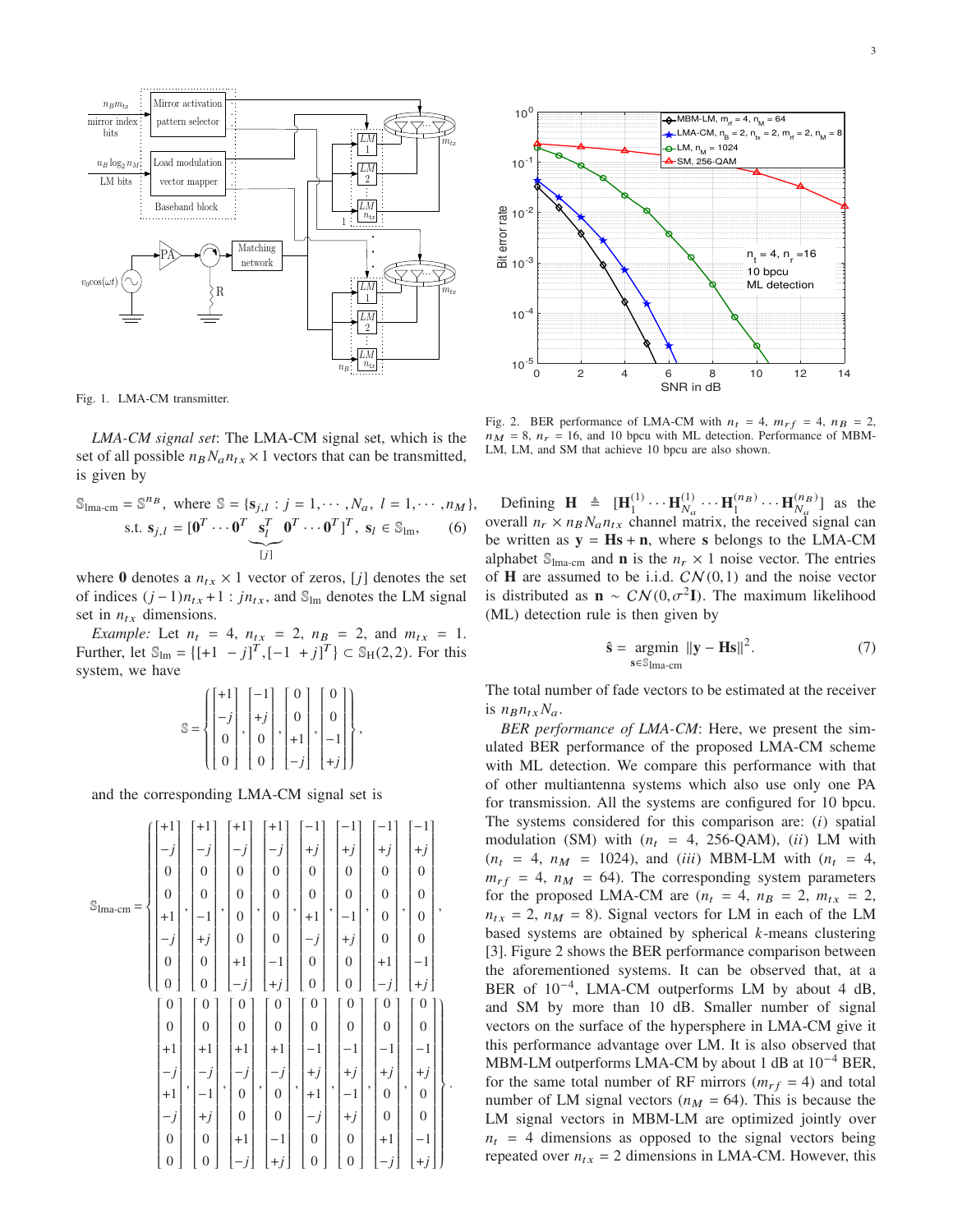

Fig. 1. LMA-CM transmitter.

*LMA-CM signal set*: The LMA-CM signal set, which is the set of all possible  $n_B N_a n_{tx} \times 1$  vectors that can be transmitted, is given by

$$
\mathbb{S}_{\text{Ima-cm}} = \mathbb{S}^{n_B}, \text{ where } \mathbb{S} = \{s_{j,l} : j = 1, \cdots, N_a, l = 1, \cdots, n_M\},
$$
  
s.t.  $s_{j,l} = [\mathbf{0}^T \cdots \mathbf{0}^T \underbrace{\mathbf{s}_l^T \ \mathbf{0}^T \cdots \mathbf{0}^T]^T}, \ \mathbf{s}_l \in \mathbb{S}_{\text{Im}},$  (6)

where 0 denotes a  $n_{tx} \times 1$  vector of zeros, [*j*] denotes the set of indices  $(j-1)n_{tx} + 1$  :  $jn_{tx}$ , and S<sub>lm</sub> denotes the LM signal set in  $n_{tx}$  dimensions.

*Example:* Let  $n_t = 4$ ,  $n_{tx} = 2$ ,  $n_B = 2$ , and  $m_{tx} = 1$ . Further, let  $\mathbb{S}_{\text{Im}} = \{ [ +1 \ -j ]^T, [-1 \ +j ]^T \} \subset \mathbb{S}_{\text{H}}(2,2)$ . For this system, we have

|  |  | $\left\{\begin{bmatrix} +1\\-j\\0\\0\\0\end{bmatrix}, \begin{bmatrix} -1\\+j\\0\\0\\0\end{bmatrix}, \begin{bmatrix} 0\\0\\+1\\-j\end{bmatrix}, \begin{bmatrix} 0\\0\\-1\\-j\end{bmatrix}\right\}$ |  |  |  |  |  |  |
|--|--|---------------------------------------------------------------------------------------------------------------------------------------------------------------------------------------------------|--|--|--|--|--|--|
|  |  |                                                                                                                                                                                                   |  |  |  |  |  |  |
|  |  |                                                                                                                                                                                                   |  |  |  |  |  |  |

and the corresponding LMA-CM signal set is

$$
\mathbb{S}_{\text{lma-cm}} = \begin{cases}\n\begin{bmatrix}\n+1 \\
-j \\
0 \\
0 \\
0 \\
0 \\
\end{bmatrix} + \begin{bmatrix}\n+1 \\
-j \\
0 \\
0 \\
0 \\
\end{bmatrix}, \begin{bmatrix}\n+1 \\
-j \\
0 \\
0 \\
0 \\
\end{bmatrix}, \begin{bmatrix}\n+1 \\
-j \\
0 \\
0 \\
0 \\
\end{bmatrix}, \begin{bmatrix}\n+1 \\
-j \\
0 \\
0 \\
0 \\
\end{bmatrix}, \begin{bmatrix}\n+1 \\
-1 \\
0 \\
0 \\
0 \\
\end{bmatrix}, \begin{bmatrix}\n-1 \\
-j \\
0 \\
0 \\
\end{bmatrix}, \begin{bmatrix}\n+1 \\
-1 \\
0 \\
0 \\
\end{bmatrix}, \begin{bmatrix}\n0 \\
-1 \\
0 \\
0 \\
\end{bmatrix}, \begin{bmatrix}\n0 \\
-1 \\
-1 \\
0 \\
\end{bmatrix}, \begin{bmatrix}\n0 \\
-1 \\
0 \\
0 \\
\end{bmatrix}, \begin{bmatrix}\n0 \\
-1 \\
-1 \\
0 \\
\end{bmatrix}, \begin{bmatrix}\n0 \\
0 \\
0 \\
0 \\
\end{bmatrix}, \begin{bmatrix}\n0 \\
-1 \\
-1 \\
-1 \\
\end{bmatrix}, \begin{bmatrix}\n0 \\
0 \\
0 \\
0 \\
\end{bmatrix}, \begin{bmatrix}\n0 \\
-1 \\
-1 \\
-1 \\
\end{bmatrix}, \begin{bmatrix}\n0 \\
0 \\
-1 \\
-1 \\
\end{bmatrix}, \begin{bmatrix}\n0 \\
0 \\
-1 \\
-1 \\
\end{bmatrix}, \begin{bmatrix}\n0 \\
0 \\
-1 \\
-1 \\
\end{bmatrix}, \begin{bmatrix}\n0 \\
0 \\
-1 \\
-1 \\
\end{bmatrix}, \begin{bmatrix}\n0 \\
0 \\
-1 \\
-1 \\
\end{bmatrix}, \begin{bmatrix}\n0 \\
0 \\
-1 \\
-1 \\
\end{bmatrix}, \begin{bmatrix}\n0 \\
0 \\
-1 \\
-1 \\
\end{bmatrix}, \begin{bmatrix}\n0 \\
0 \\
-1 \\
-1 \\
\end{bmatrix}, \begin{bmatrix}\n0 \\
0 \\
-1 \\
-1 \\
\end{bmatrix}, \begin{bmatrix}\n0 \\
0 \\
-1 \\
-1 \\
\end{bmatrix}, \begin{bmatrix}\n0 \\
0 \\
-1 \\
\end{bmatrix}, \begin{bmatrix}\n0 \\
0 \\
-1 \\
\end{bmatrix}, \begin{bmatrix}\n0 \\
0 \\
-1 \\
\end{bmatrix}, \begin{bmatrix}\n0 \\
0 \\
-1 \\
\end{bmatrix}, \begin{bmatrix}\n0 \\
0 \\
-1 \\
\end{bmatrix}, \begin{bmatrix}\n0 \\
0 \\
-1 \\
\end{bmatrix}, \begin{bmatrix}\n0 \\
0 \\
-1 \\
\
$$

.



Fig. 2. BER performance of LMA-CM with  $n_t = 4$ ,  $m_{rf} = 4$ ,  $n_B = 2$ ,  $n<sub>M</sub> = 8$ ,  $n<sub>r</sub> = 16$ , and 10 bpcu with ML detection. Performance of MBM-LM, LM, and SM that achieve 10 bpcu are also shown.

Defining  $\mathbf{H} \triangleq [\mathbf{H}_1^{(1)}]$  $\mathbf{H}_{N_a}^{(1)} \cdots \mathbf{H}_{N_a}^{(1)}$  $N_a \cdots$   ${\bf H}^{(n_B)}_1 \cdots {\bf H}^{(n_B)}_{N_a}$  $\binom{n_B}{N_a}$  as the overall  $n_r \times n_B N_a n_t$  channel matrix, the received signal can be written as  $y = Hs + n$ , where s belongs to the LMA-CM alphabet  $\mathbb{S}_{\text{Ima-cm}}$  and **n** is the  $n_r \times 1$  noise vector. The entries of **H** are assumed to be i.i.d.  $CN(0,1)$  and the noise vector is distributed as  $\mathbf{n} \sim \mathcal{CN}(0, \sigma^2 \mathbf{I})$ . The maximum likelihood (ML) detection rule is then given by

$$
\hat{\mathbf{s}} = \underset{\mathbf{s} \in \mathbb{S}_{\text{Ima-cm}}}{\text{argmin}} \|\mathbf{y} - \mathbf{H}\mathbf{s}\|^2. \tag{7}
$$

The total number of fade vectors to be estimated at the receiver is  $n_B n_{tx} N_a$ .

*BER performance of LMA-CM*: Here, we present the simulated BER performance of the proposed LMA-CM scheme with ML detection. We compare this performance with that of other multiantenna systems which also use only one PA for transmission. All the systems are configured for 10 bpcu. The systems considered for this comparison are: (*i*) spatial modulation (SM) with  $(n_t = 4, 256$ -QAM), *(ii*) LM with  $(n_t = 4, n_M = 1024)$ , and *(iii)* MBM-LM with  $(n_t = 4,$  $m_{rf}$  = 4,  $n_M$  = 64). The corresponding system parameters for the proposed LMA-CM are  $(n_t = 4, n_B = 2, m_{tx} = 2,$  $n_{tx} = 2$ ,  $n_M = 8$ ). Signal vectors for LM in each of the LM based systems are obtained by spherical *k*-means clustering [3]. Figure 2 shows the BER performance comparison between the aforementioned systems. It can be observed that, at a BER of 10−<sup>4</sup> , LMA-CM outperforms LM by about 4 dB, and SM by more than 10 dB. Smaller number of signal vectors on the surface of the hypersphere in LMA-CM give it this performance advantage over LM. It is also observed that MBM-LM outperforms LMA-CM by about 1 dB at 10<sup>-4</sup> BER, for the same total number of RF mirrors  $(m<sub>rf</sub> = 4)$  and total number of LM signal vectors ( $n_M$  = 64). This is because the LM signal vectors in MBM-LM are optimized jointly over  $n_t$  = 4 dimensions as opposed to the signal vectors being repeated over  $n_{tx} = 2$  dimensions in LMA-CM. However, this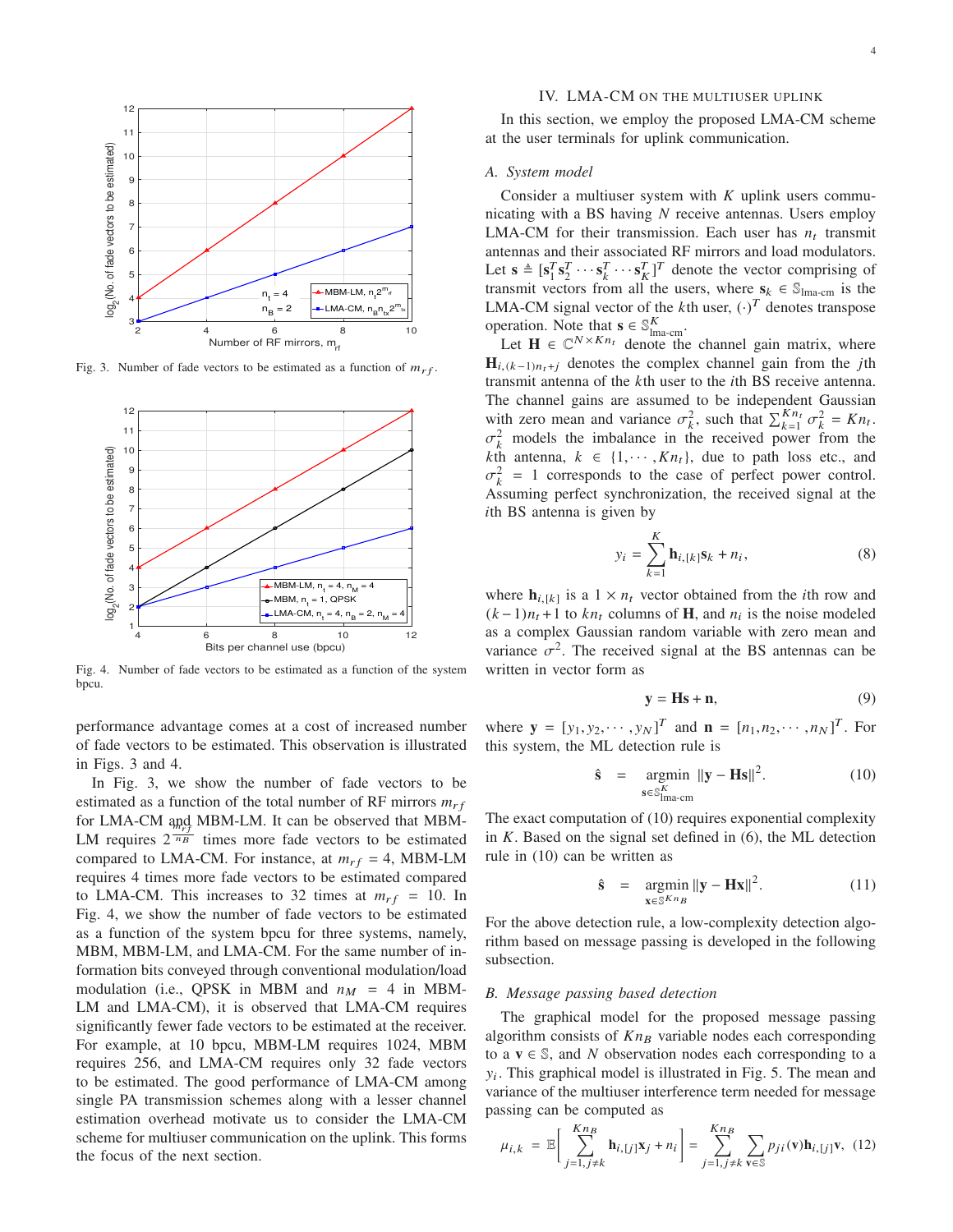



Fig. 3. Number of fade vectors to be estimated as a function of  $m_{rf}$ .



Fig. 4. Number of fade vectors to be estimated as a function of the system bpcu.

performance advantage comes at a cost of increased number of fade vectors to be estimated. This observation is illustrated in Figs. 3 and 4.

In Fig. 3, we show the number of fade vectors to be estimated as a function of the total number of RF mirrors  $m_{rf}$ for LMA-CM and MBM-LM. It can be observed that MBM-LM requires  $2 \overline{b}$  range times more fade vectors to be estimated compared to LMA-CM. For instance, at  $m_{rf} = 4$ , MBM-LM requires 4 times more fade vectors to be estimated compared to LMA-CM. This increases to 32 times at  $m_{rf} = 10$ . In Fig. 4, we show the number of fade vectors to be estimated as a function of the system bpcu for three systems, namely, MBM, MBM-LM, and LMA-CM. For the same number of information bits conveyed through conventional modulation/load modulation (i.e., QPSK in MBM and  $n_M = 4$  in MBM-LM and LMA-CM), it is observed that LMA-CM requires significantly fewer fade vectors to be estimated at the receiver. For example, at 10 bpcu, MBM-LM requires 1024, MBM requires 256, and LMA-CM requires only 32 fade vectors to be estimated. The good performance of LMA-CM among single PA transmission schemes along with a lesser channel estimation overhead motivate us to consider the LMA-CM scheme for multiuser communication on the uplink. This forms the focus of the next section.

## IV. LMA-CM ON THE MULTIUSER UPLINK

In this section, we employ the proposed LMA-CM scheme at the user terminals for uplink communication.

# *A. System model*

Consider a multiuser system with *K* uplink users communicating with a BS having *N* receive antennas. Users employ LMA-CM for their transmission. Each user has  $n_t$  transmit antennas and their associated RF mirrors and load modulators. Let  $\mathbf{s} \triangleq [\mathbf{s}_1^T \mathbf{s}_2^T \cdots \mathbf{s}_k^T \cdots \mathbf{s}_K^T]^T$  denote the vector comprising of transmit vectors from all the users, where  $s_k \in \mathbb{S}_{\text{Ima-cm}}$  is the LMA-CM signal vector of the *k*th user,  $(\cdot)^T$  denotes transpose operation. Note that  $\mathbf{s} \in \mathbb{S}_{\text{Ima-cm}}^K$ .

Let  $\mathbf{H} \in \mathbb{C}^{N \times Kn_t}$  denote the channel gain matrix, where  $H_{i,(k-1)n}$ <sub>t+j</sub> denotes the complex channel gain from the *j*th transmit antenna of the *k*th user to the *i*th BS receive antenna. The channel gains are assumed to be independent Gaussian with zero mean and variance  $\sigma_k^2$ , such that  $\sum_{k=1}^{K n_t} \sigma_k^2 = K n_t$ .  $\sigma_k^2$  models the imbalance in the received power from the *k*th antenna,  $k \in \{1, \dots, K_{n} \}$ , due to path loss etc., and  $\sigma_k^2 = 1$  corresponds to the case of perfect power control. Assuming perfect synchronization, the received signal at the *i*th BS antenna is given by

$$
y_i = \sum_{k=1}^{K} \mathbf{h}_{i,[k]} \mathbf{s}_k + n_i,
$$
 (8)

where  $h_{i,[k]}$  is a  $1 \times n_t$  vector obtained from the *i*th row and  $(k-1)n_t + 1$  to  $kn_t$  columns of **H**, and  $n_i$  is the noise modeled as a complex Gaussian random variable with zero mean and variance  $\sigma^2$ . The received signal at the BS antennas can be written in vector form as

$$
y = Hs + n,\t\t(9)
$$

where  $y = [y_1, y_2, \dots, y_N]^T$  and  $\mathbf{n} = [n_1, n_2, \dots, n_N]^T$ . For this system, the ML detection rule is

$$
\hat{\mathbf{s}} = \operatorname*{argmin}_{\mathbf{s} \in \mathbb{S}_{\text{Ima-cm}}^{K}} \|\mathbf{y} - \mathbf{H}\mathbf{s}\|^{2}.
$$
 (10)

The exact computation of (10) requires exponential complexity in *K*. Based on the signal set defined in (6), the ML detection rule in (10) can be written as

$$
\hat{\mathbf{s}} = \operatorname*{argmin}_{\mathbf{x} \in \mathbb{S}^{Kn} B} \|\mathbf{y} - \mathbf{H}\mathbf{x}\|^2. \tag{11}
$$

For the above detection rule, a low-complexity detection algorithm based on message passing is developed in the following subsection.

## *B. Message passing based detection*

The graphical model for the proposed message passing algorithm consists of  $Kn_B$  variable nodes each corresponding to a  $v \in \mathbb{S}$ , and *N* observation nodes each corresponding to a  $y_i$ . This graphical model is illustrated in Fig. 5. The mean and variance of the multiuser interference term needed for message passing can be computed as

$$
\mu_{i,k} = \mathbb{E}\bigg[\sum_{j=1, j \neq k}^{Kn_B} \mathbf{h}_{i,[j]} \mathbf{x}_j + n_i\bigg] = \sum_{j=1, j \neq k}^{Kn_B} \sum_{\mathbf{v} \in \mathbb{S}} p_{ji}(\mathbf{v}) \mathbf{h}_{i,[j]} \mathbf{v}, (12)
$$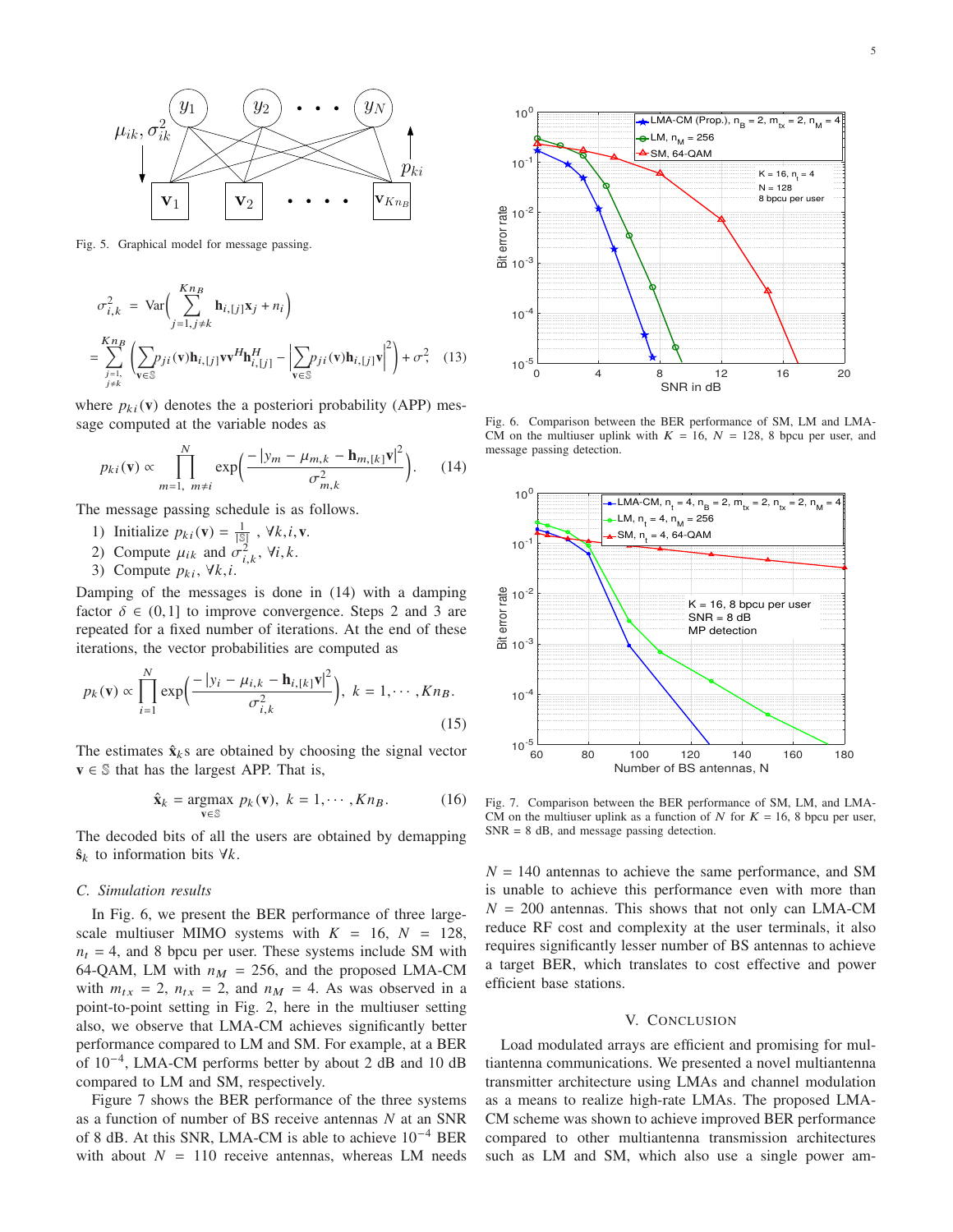

Fig. 5. Graphical model for message passing.

$$
\sigma_{i,k}^2 = \text{Var}\Big(\sum_{j=1,j\neq k}^{Kn_B} \mathbf{h}_{i,[j]} \mathbf{x}_j + n_i\Big)
$$
  
= 
$$
\sum_{\substack{j=1, \ j \neq k}}^{Kn_B} \Big(\sum_{\mathbf{v} \in \mathbb{S}} p_{ji}(\mathbf{v}) \mathbf{h}_{i,[j]} \mathbf{v} \mathbf{v}^H \mathbf{h}_{i,[j]}^H - \Big|\sum_{\mathbf{v} \in \mathbb{S}} p_{ji}(\mathbf{v}) \mathbf{h}_{i,[j]} \mathbf{v}\Big|^2\Big) + \sigma^2, \quad (13)
$$

where  $p_{ki}(\mathbf{v})$  denotes the a posteriori probability (APP) message computed at the variable nodes as

$$
p_{ki}(\mathbf{v}) \propto \prod_{m=1, m \neq i}^{N} \exp\left(\frac{-|y_m - \mu_{m,k} - \mathbf{h}_{m,[k]} \mathbf{v}|^2}{\sigma_{m,k}^2}\right). \tag{14}
$$

The message passing schedule is as follows.

- 1) Initialize  $p_{ki}(\mathbf{v}) = \frac{1}{|\mathbb{S}|}, \forall k, i, \mathbf{v}.$
- 2) Compute  $\mu_{ik}$  and  $\sigma_{i,k}^2$ ,  $\forall i, k$ .
- 3) Compute  $p_{ki}$ ,  $\forall k, i$ .

Damping of the messages is done in (14) with a damping factor  $\delta \in (0,1]$  to improve convergence. Steps 2 and 3 are repeated for a fixed number of iterations. At the end of these iterations, the vector probabilities are computed as

$$
p_k(\mathbf{v}) \propto \prod_{i=1}^N \exp\left(\frac{-|y_i - \mu_{i,k} - \mathbf{h}_{i,[k]}\mathbf{v}|^2}{\sigma_{i,k}^2}\right), \ k = 1, \cdots, K n_B.
$$
\n(15)

The estimates  $\hat{\mathbf{x}}_k$ s are obtained by choosing the signal vector  $v \in \mathbb{S}$  that has the largest APP. That is,

$$
\hat{\mathbf{x}}_k = \underset{\mathbf{v} \in \mathbb{S}}{\operatorname{argmax}} \ p_k(\mathbf{v}), \ k = 1, \cdots, Kn_B. \tag{16}
$$

The decoded bits of all the users are obtained by demapping  $\hat{\mathbf{s}}_k$  to information bits  $\forall k$ .

#### *C. Simulation results*

In Fig. 6, we present the BER performance of three largescale multiuser MIMO systems with  $K = 16$ ,  $N = 128$ ,  $n_t = 4$ , and 8 bpcu per user. These systems include SM with 64-QAM, LM with  $n_M = 256$ , and the proposed LMA-CM with  $m_{tx} = 2$ ,  $n_{tx} = 2$ , and  $n_M = 4$ . As was observed in a point-to-point setting in Fig. 2, here in the multiuser setting also, we observe that LMA-CM achieves significantly better performance compared to LM and SM. For example, at a BER of 10−<sup>4</sup> , LMA-CM performs better by about 2 dB and 10 dB compared to LM and SM, respectively.

Figure 7 shows the BER performance of the three systems as a function of number of BS receive antennas *N* at an SNR of 8 dB. At this SNR, LMA-CM is able to achieve  $10^{-4}$  BER with about  $N = 110$  receive antennas, whereas LM needs



Fig. 6. Comparison between the BER performance of SM, LM and LMA-CM on the multiuser uplink with  $K = 16$ ,  $N = 128$ , 8 bpcu per user, and message passing detection.



Fig. 7. Comparison between the BER performance of SM, LM, and LMA-CM on the multiuser uplink as a function of N for  $K = 16$ , 8 bpcu per user, SNR = 8 dB, and message passing detection.

 $N = 140$  antennas to achieve the same performance, and SM is unable to achieve this performance even with more than  $N = 200$  antennas. This shows that not only can LMA-CM reduce RF cost and complexity at the user terminals, it also requires significantly lesser number of BS antennas to achieve a target BER, which translates to cost effective and power efficient base stations.

#### V. CONCLUSION

Load modulated arrays are efficient and promising for multiantenna communications. We presented a novel multiantenna transmitter architecture using LMAs and channel modulation as a means to realize high-rate LMAs. The proposed LMA-CM scheme was shown to achieve improved BER performance compared to other multiantenna transmission architectures such as LM and SM, which also use a single power am